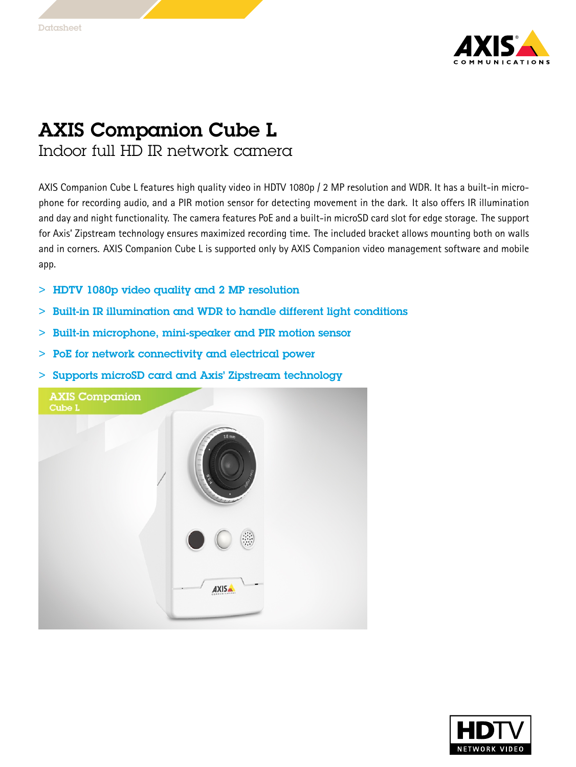

## AXIS Companion Cube L

Indoor full HD IR network camera

AXIS Companion Cube L features high quality video in HDTV 1080p / <sup>2</sup> MP resolution and WDR. It has <sup>a</sup> built-in microphone for recording audio, and <sup>a</sup> PIR motion sensor for detecting movement in the dark. It also offers IR illumination and day and night functionality. The camera features PoE and <sup>a</sup> built-in microSD card slot for edge storage. The support for Axis' Zipstream technology ensures maximized recording time. The included bracket allows mounting both on walls and in corners. AXIS Companion Cube L is supported only by AXIS Companion video management software and mobile app.

- > HDTV 1080p video quality and 2 MP resolution
	- $>$ Built-in IR illumination and WDR to handle different light conditions
- > Built-in microphone, mini-speaker and PIR motion sensor
- > PoE for network connectivity and electrical power
- > Supports microSD card and Axis' Zipstream technology